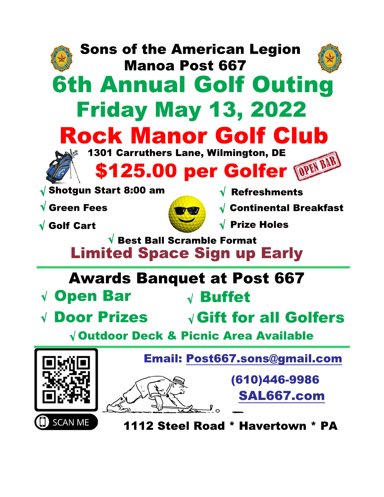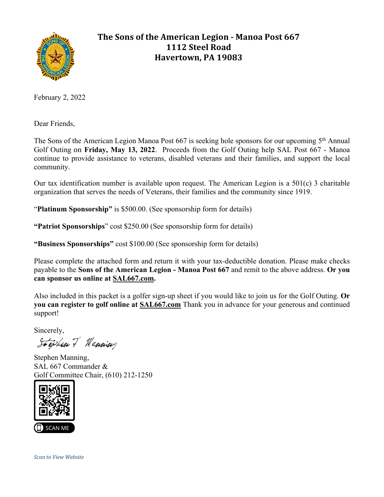

# **The Sons of the American Legion - Manoa Post 667 1112 Steel Road Havertown, PA 19083**

February 2, 2022

Dear Friends,

The Sons of the American Legion Manoa Post 667 is seeking hole sponsors for our upcoming 5<sup>th</sup> Annual Golf Outing on **Friday, May 13, 2022**. Proceeds from the Golf Outing help SAL Post 667 - Manoa continue to provide assistance to veterans, disabled veterans and their families, and support the local community.

Our tax identification number is available upon request. The American Legion is a 501(c) 3 charitable organization that serves the needs of Veterans, their families and the community since 1919.

"**Platinum Sponsorship"** is \$500.00. (See sponsorship form for details)

**"Patriot Sponsorships**" cost \$250.00 (See sponsorship form for details)

**"Business Sponsorships"** cost \$100.00 (See sponsorship form for details)

Please complete the attached form and return it with your tax-deductible donation. Please make checks payable to the **Sons of the American Legion - Manoa Post 667** and remit to the above address. **Or you can sponsor us online at SAL667.com.**

Also included in this packet is a golfer sign-up sheet if you would like to join us for the Golf Outing. **Or you can register to golf online at SAL667.com** Thank you in advance for your generous and continued support!

Sincerely,

Stephen J Manning

Stephen Manning, SAL 667 Commander & Golf Committee Chair, (610) 212-1250



*Scan to View Website*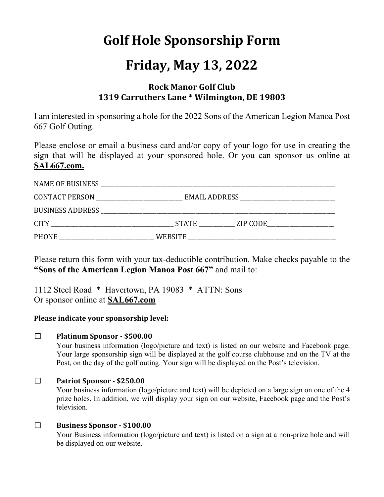# **Golf Hole Sponsorship Form**

# **Friday, May 13, 2022**

## **Rock Manor Golf Club 1319 Carruthers Lane \* Wilmington, DE 19803**

I am interested in sponsoring a hole for the 2022 Sons of the American Legion Manoa Post 667 Golf Outing.

Please enclose or email a business card and/or copy of your logo for use in creating the sign that will be displayed at your sponsored hole. Or you can sponsor us online at **SAL667.com.**

| <b>CONTACT PERSON</b> |         |                |  |  |  |
|-----------------------|---------|----------------|--|--|--|
|                       |         |                |  |  |  |
|                       |         | STATE ZIP CODE |  |  |  |
| <b>PHONE</b>          | WEBSITE |                |  |  |  |

Please return this form with your tax-deductible contribution. Make checks payable to the **"Sons of the American Legion Manoa Post 667"** and mail to:

1112 Steel Road \* Havertown, PA 19083 \* ATTN: Sons Or sponsor online at **SAL667.com**

#### Please indicate your sponsorship level:

#### □ **Platinum Sponsor - \$500.00**

Your business information (logo/picture and text) is listed on our website and Facebook page. Your large sponsorship sign will be displayed at the golf course clubhouse and on the TV at the Post, on the day of the golf outing. Your sign will be displayed on the Post's television.

#### □ **Patriot Sponsor - \$250.00**

Your business information (logo/picture and text) will be depicted on a large sign on one of the 4 prize holes. In addition, we will display your sign on our website, Facebook page and the Post's television.

#### □ **Business Sponsor - \$100.00**

Your Business information (logo/picture and text) is listed on a sign at a non-prize hole and will be displayed on our website.